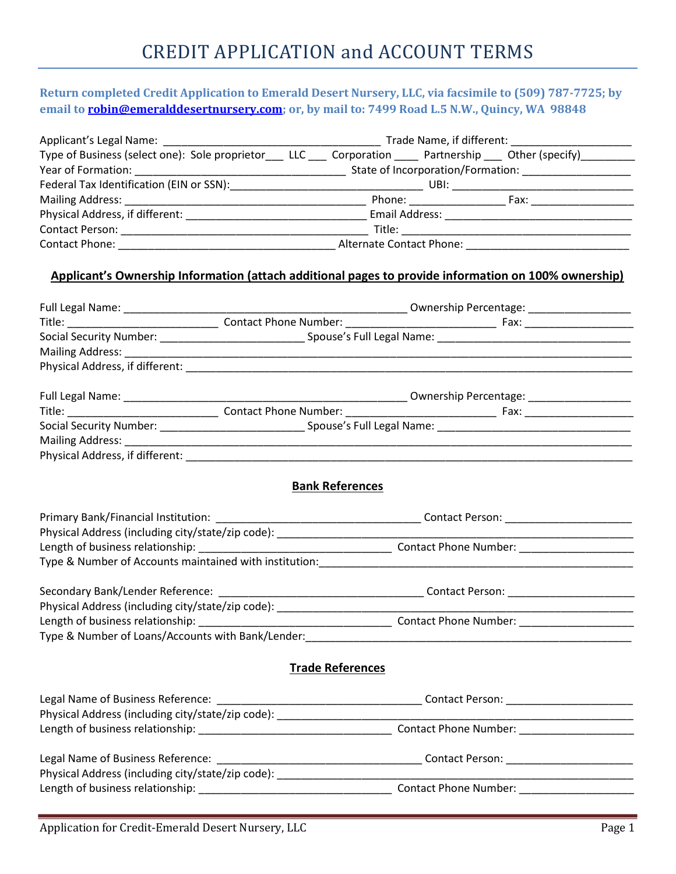## Return completed Credit Application to Emerald Desert Nursery, LLC, via facsimile to (509) 787-7725; by email to **robin@emeralddesertnursery.com**; or, by mail to: 7499 Road L.5 N.W., Quincy, WA 98848

|                                                                                                                              | Trade Name, if different:         |      |  |
|------------------------------------------------------------------------------------------------------------------------------|-----------------------------------|------|--|
| Type of Business (select one): Sole proprietor_____LLC _____ Corporation ______ Partnership ____ Other (specify)____________ |                                   |      |  |
| Year of Formation:                                                                                                           | State of Incorporation/Formation: |      |  |
| Federal Tax Identification (EIN or SSN):                                                                                     | UBI:                              |      |  |
|                                                                                                                              | Phone: _______________            | Fax: |  |
| Physical Address, if different:                                                                                              | Email Address:                    |      |  |
| <b>Contact Person:</b>                                                                                                       | Title:                            |      |  |
| Contact Phone:                                                                                                               | Alternate Contact Phone:          |      |  |

## Applicant's Ownership Information (attach additional pages to provide information on 100% ownership)

|                                                                                                                                                                                                                                                                                                  | <b>Bank References</b>  |  |  |
|--------------------------------------------------------------------------------------------------------------------------------------------------------------------------------------------------------------------------------------------------------------------------------------------------|-------------------------|--|--|
|                                                                                                                                                                                                                                                                                                  |                         |  |  |
|                                                                                                                                                                                                                                                                                                  |                         |  |  |
|                                                                                                                                                                                                                                                                                                  |                         |  |  |
|                                                                                                                                                                                                                                                                                                  |                         |  |  |
|                                                                                                                                                                                                                                                                                                  |                         |  |  |
|                                                                                                                                                                                                                                                                                                  |                         |  |  |
|                                                                                                                                                                                                                                                                                                  |                         |  |  |
|                                                                                                                                                                                                                                                                                                  |                         |  |  |
|                                                                                                                                                                                                                                                                                                  | <b>Trade References</b> |  |  |
|                                                                                                                                                                                                                                                                                                  |                         |  |  |
|                                                                                                                                                                                                                                                                                                  |                         |  |  |
|                                                                                                                                                                                                                                                                                                  |                         |  |  |
| $\mathbf{r}$ and $\mathbf{r}$ and $\mathbf{r}$ and $\mathbf{r}$ and $\mathbf{r}$ and $\mathbf{r}$ and $\mathbf{r}$ and $\mathbf{r}$ and $\mathbf{r}$ and $\mathbf{r}$ and $\mathbf{r}$ and $\mathbf{r}$ and $\mathbf{r}$ and $\mathbf{r}$ and $\mathbf{r}$ and $\mathbf{r}$ and $\mathbf{r}$ and |                         |  |  |

| Legal Name of Business Reference:                 | Contact Person:       |  |
|---------------------------------------------------|-----------------------|--|
| Physical Address (including city/state/zip code): |                       |  |
| Length of business relationship:                  | Contact Phone Number: |  |